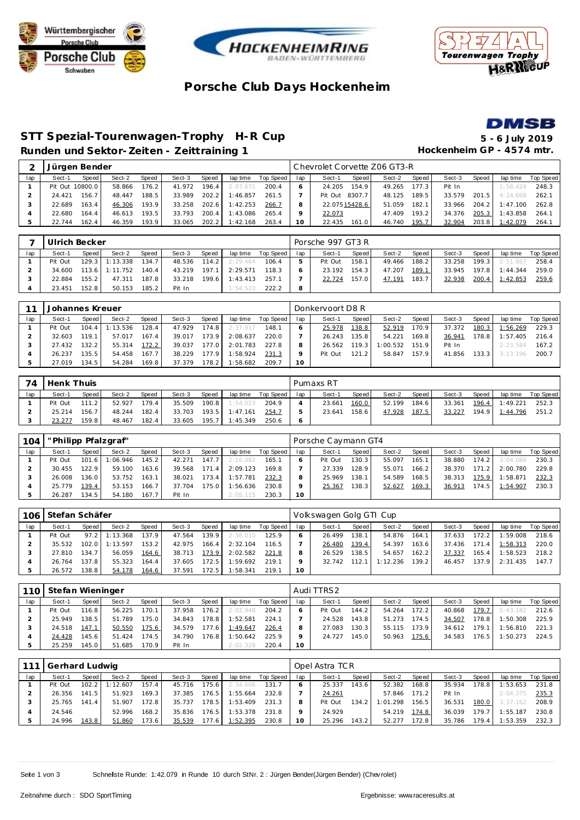





## **Porsche Club Days Hockenhe im**



#### **STT Spezial-Tourenwagen-Trophy H-R Cup 5 - 6 July 2019** Runden und Sektor-Zeiten - Zeittraining 1 **Beiser and Einer and Sektor-Zeiten - Zeittraining 1 Hockenheim GP** - 4574 mtr.

|     | Jürgen Bender   |       |        |       |        |              |          |           |     | Chevrolet Corvette Z06 GT3-R |        |       |        |       |          |           |
|-----|-----------------|-------|--------|-------|--------|--------------|----------|-----------|-----|------------------------------|--------|-------|--------|-------|----------|-----------|
| lap | Sect-1          | Speed | Sect-2 | Speed | Sect-3 | <b>Speed</b> | lap time | Top Speed | lap | Sect-1<br>Speed              | Sect-2 | Speed | Sect-3 | Speed | lap time | Top Speed |
|     | Pit Out 10800.0 |       | 58.866 | 176.2 | 41.972 | 196.4        | 2:07.671 | 200.4     |     | 154.9<br>24.205              | 49.265 | 177.3 | Pit In |       | 1:58.424 | 248.3     |
|     | 24.421          | 156.7 | 48.447 | 188.5 | 33.989 | 202.2        | 1:46.857 | 261.5     |     | 8307.7<br>Pit Out            | 48.125 | 189.5 | 33.579 | 201.5 | 4:24.668 | 262.1     |
|     | 22.689          | 163.4 | 46.306 | 193.9 | 33.258 | 202.6        | 1:42.253 | 266.7     |     | 22.075 15428.6               | 51.059 | 182.1 | 33.966 | 204.2 | 1:47.100 | 262.8     |
|     | 22.680          | 164.4 | 46.613 | 193.5 | 33.793 | 200.4        | 1:43.086 | 265.4     | o   | 22.073                       | 47.409 | 193.2 | 34.376 | 205.3 | 1:43.858 | 264.1     |
|     | 22.744          | 162.4 | 46.359 | 193.9 | 33.065 | 202.2        | 1:42.168 | 263.4     | 0   | 22.435<br>161.0              | 46.740 | 195.7 | 32.904 | 203.8 | 1:42.079 | 264.7     |

|     |         | Ulrich Becker<br>Speed<br>Speed.<br>Sect-2<br>Sect-3<br>lap time<br>Speed I<br>Sect-1<br>$129.3$ 1:13.338<br>134.7<br>114.2<br>48.536<br>2:29.464<br>$113.6$ 1:11.752<br>140.4<br>197.1<br>2:29.571<br>43.219 |        |       |        |       |          |           |     | Porsche 997 GT3 R |       |        |       |        |       |                |           |
|-----|---------|---------------------------------------------------------------------------------------------------------------------------------------------------------------------------------------------------------------|--------|-------|--------|-------|----------|-----------|-----|-------------------|-------|--------|-------|--------|-------|----------------|-----------|
| lap |         |                                                                                                                                                                                                               |        |       |        |       |          | Top Speed | lap | Sect-1            | Speed | Sect-2 | Speed | Sect-3 | Speed | lap time       | Top Speed |
|     | Pit Out |                                                                                                                                                                                                               |        |       |        |       |          | 106.4     |     | Pit Out           | 158.1 | 49.466 | 188.2 | 33.258 |       | 199.3 2:51.667 | 258.4     |
|     | 34.600  |                                                                                                                                                                                                               |        |       |        |       |          | 118.3     |     | 23.192            | 154.3 | 47.207 | 189.1 | 33.945 | 197.8 | 1:44.344       | 259.0     |
|     | 22.884  | 155.2                                                                                                                                                                                                         | 47.311 | 187.8 | 33.218 | 199.6 | 1:43.413 | 257.1     |     | 22.724            | 157.0 | 47.191 | 183.7 | 32.938 | 200.4 | 1:42.853       | 259.6     |
|     | 23.451  | 152.8                                                                                                                                                                                                         | 50.153 | 185.2 | Pit In |       | 1:54.523 | 222.2     |     |                   |       |        |       |        |       |                |           |

|     | Johannes Kreuer |                    |           |           |        |       |          |           |     | Donkervoort D8 R |       |          |       |        |                    |          |           |
|-----|-----------------|--------------------|-----------|-----------|--------|-------|----------|-----------|-----|------------------|-------|----------|-------|--------|--------------------|----------|-----------|
| lap | Sect-1          | Speed              | Sect-2    | Speed     | Sect-3 | Speed | lap time | Top Speed | lap | Sect-1           | Speed | Sect-2   | Speed | Sect-3 | Speed              | lap time | Top Speed |
|     | Pit Out         | 104.4              | I: 13.536 | $128.4$ . | 47.929 | 174.8 | 2:37.917 | 148.1     |     | 25.978           | 138.8 | 52.919   | 170.9 | 37.372 | 180.3              | : 56.269 | 229.3     |
|     | 32.603          | 119.1              | 57.017    | 167.4     | 39.017 | 173.9 | 2:08.637 | 220.0     |     | 26.243           | 135.8 | 54.221   | 169.8 | 36.941 | 178.8 I            | 1:57.405 | 216.4     |
|     | 27.432          | 132.2              | 55.314    | 172.2     | 39.037 | 177.0 | 2:01.783 | 227.8     |     | 26.562           | 119.3 | 1:00.532 | 151.9 | Pit In |                    | 2:23.584 | 167.2     |
|     | 26.237          | 135.5 <sub>1</sub> | 54.458    | 167.7     | 38.229 | 177.9 | :58.924  | 231.3     |     | Pit Out          | 121.2 | 58.847   | 157.9 | 41.856 | 133.3 <sub>1</sub> | 3:13.196 | 200.7     |
|     | 27.019          | 134.5              | 54.284    | 169.8     | 37.379 | 178.2 | 1:58.682 | 209.7     | 10  |                  |       |          |       |        |                    |          |           |

| 74  | Henk Thuis |       |        |       |        |       |                |           |     | Pumaxs RT |       |        |       |        |       |                |           |
|-----|------------|-------|--------|-------|--------|-------|----------------|-----------|-----|-----------|-------|--------|-------|--------|-------|----------------|-----------|
| lap | Sect-1     | Speed | Sect-2 | Speed | Sect-3 | Speed | lap time       | Top Speed | lap | Sect-1    | Speed | Sect-2 | Speed | Sect-3 | Speed | lap time       | Top Speed |
|     | Pit Out    | 111.2 | 52.927 | 179.4 | 35.509 | 190.8 | 1:54.023       | 204.9     |     | 23.661    | 160.0 | 52.199 | 184.6 | 33.361 | 196.4 | 1:49.221       | 252.3     |
|     | 25.214     | 156.7 | 48.244 | 182.4 | 33.703 |       | 193.5 1:47.161 | 254.7     |     | 23.641    | 158.6 | 47.928 | 187.5 | 33.227 |       | 194.9 1:44.796 | 251.2     |
|     | 23.277     | 159.8 | 48.467 | 182.4 | 33.605 | 195.7 | 1:45.349       | 250.6     |     |           |       |        |       |        |       |                |           |

| 104 | "Philipp Pfalzgraf" |       |          |       |        |       |          |           |                 | Porsche Caymann GT4 |       |        |       |        |       |          |           |
|-----|---------------------|-------|----------|-------|--------|-------|----------|-----------|-----------------|---------------------|-------|--------|-------|--------|-------|----------|-----------|
| lap | Sect-1              | Speed | Sect-2   | Speed | Sect-3 | Speed | lap time | Top Speed | lap             | Sect-1              | Speed | Sect-2 | Speed | Sect-3 | Speed | lap time | Top Speed |
|     | Pit Out             | 101.6 | 1:06.946 | 145.2 | 42.271 | 147.7 | 2:16.082 | 165.1     |                 | Pit Out             | 130.3 | 55.097 | 165.1 | 38.880 | 174.2 | 3:04.086 | 230.3     |
|     | 30.455              | 122.9 | 59.100   | 163.6 | 39.568 | 171.4 | 2:09.123 | 169.8     |                 | 27.339              | 128.9 | 55.071 | 166.2 | 38.370 | 171.2 | 2:00.780 | 229.8     |
|     | 26.008              | 136.0 | 53.752   | 163.1 | 38.021 | 173.4 | 1:57.781 | 232.3     | 8               | 25.969              | 138.1 | 54.589 | 168.5 | 38.313 | 175.9 | 1:58.871 | 232.3     |
|     | 25.779              | 139.4 | 53.153   | 166.7 | 37.704 | 175.0 | 1:56.636 | 230.8     |                 | 25.367              | 138.3 | 52.627 | 169.3 | 36.913 | 174.5 | 1:54.907 | 230.3     |
|     | 26.287              | 134.5 | 54.180   | 167.7 | Pit In |       | 2:05.115 | 230.3     | 10 <sup>°</sup> |                     |       |        |       |        |       |          |           |

| 106 |        | Stefan Schäfer<br>Speed<br>Speed<br>Sect-2<br>Sect-3<br>Speed<br>lap time<br>Sect-1<br>137.9<br>139.9<br>97.2<br>Pit Out<br>1:13.368<br>47.564<br>2:38.010<br>102.0<br>35.532<br>153.2<br>: 13.597<br>2:32.104<br>42.975<br>166.4 |        |       |        |        |          |           |     | Volkswagen Golg GTI Cup |       |          |       |        |       |          |           |
|-----|--------|-----------------------------------------------------------------------------------------------------------------------------------------------------------------------------------------------------------------------------------|--------|-------|--------|--------|----------|-----------|-----|-------------------------|-------|----------|-------|--------|-------|----------|-----------|
| lap |        |                                                                                                                                                                                                                                   |        |       |        |        |          | Top Speed | lap | Sect-1                  | Speed | Sect-2   | Speed | Sect-3 | Speed | lap time | Top Speed |
|     |        |                                                                                                                                                                                                                                   |        |       |        |        |          | 125.9     |     | 26.499                  | 138.1 | 54.876   | 164.1 | 37.633 | 172.2 | 1:59.008 | 218.6     |
|     |        |                                                                                                                                                                                                                                   |        |       |        |        |          | 116.5     |     | 26.480                  | 139.4 | 54.397   | 163.6 | 37.436 | 171.4 | 1:58.313 | 220.0     |
|     | 27.810 | 134.7                                                                                                                                                                                                                             | 56.059 | 164.6 | 38.713 | 173.9  | 2:02.582 | 221.8     |     | 26.529                  | 138.5 | 54.657   | 162.2 | 37.337 | 165.4 | 1:58.523 | 218.2     |
|     | 26.764 | 137.8                                                                                                                                                                                                                             | 55.323 | 164.4 | 37.605 | 172.51 | 1:59.692 | 219.1     |     | 32.742                  | 112.1 | 1:12.236 | 139.2 | 46.457 | 137.9 | 2:31.435 | 147.7     |
|     | 26.572 | 138.8                                                                                                                                                                                                                             | 54.178 | 164.6 | 37.591 | 172.5  | 1:58.341 | 219.1     | 10  |                         |       |          |       |        |       |          |           |

| 110 <sup>1</sup> | Stefan Wieninger |         |        |       |        |       |          |           |                 | Audi TTRS2 |                   |        |       |        |       |          |           |
|------------------|------------------|---------|--------|-------|--------|-------|----------|-----------|-----------------|------------|-------------------|--------|-------|--------|-------|----------|-----------|
| lap              | Sect-1           | Speed I | Sect-2 | Speed | Sect-3 | Speed | lap time | Top Speed | lap             | Sect-1     | Speed             | Sect-2 | Speed | Sect-3 | Speed | lap time | Top Speed |
|                  | Pit Out          | 116.8   | 56.225 | 170.1 | 37.958 | 176.2 | 2:02.948 | 204.2     |                 | Pit Out    | 144.2             | 54.264 | 172.2 | 40.868 | 179.7 | 5:43.182 | 212.6     |
|                  | 25.949           | 138.5   | 51.789 | 175.0 | 34.843 | 178.8 | 1:52.581 | 224.1     |                 | 24.528     | 143.8             | 51.273 | 174.5 | 34.507 | 178.8 | 1:50.308 | 225.9     |
|                  | 24.518           | 147.1   | 50.550 | 175.6 | 34.579 | 177.6 | 1:49.647 | 226.4     | 8               | 27.083     | $130.3 \text{ m}$ | 55.115 | 173.9 | 34.612 | 179.1 | 1:56.810 | 221.3     |
|                  | 24.428           | 145.6   | 51.424 | 174.5 | 34.790 | 176.8 | 1:50.642 | 225.9     |                 | 24.727     | 145.0             | 50.963 | 175.6 | 34.583 | 176.5 | 1:50.273 | 224.5     |
|                  | 25.259           | 145.0   | 51.685 | 170.9 | Pit In |       | 2:02.328 | 220.4     | 10 <sup>°</sup> |            |                   |        |       |        |       |          |           |

| 111 | Gerhard Ludwig |         |          |       |        |         |          |           |     | Opel Astra TCR |         |          |       |        |       |          |           |
|-----|----------------|---------|----------|-------|--------|---------|----------|-----------|-----|----------------|---------|----------|-------|--------|-------|----------|-----------|
| lap | Sect-1         | Speed I | Sect-2   | Speed | Sect-3 | Speed   | lap time | Top Speed | lap | Sect-1         | Speed I | Sect-2   | Speed | Sect-3 | Speed | lap time | Top Speed |
|     | Pit Out        | 102.2   | 1:12.607 | 157.4 | 45.716 | 175.6   | 2:34.606 | 131.7     |     | 25.337         | 143.6   | 52.382   | 168.8 | 35.934 | 178.8 | 1:53.653 | 231.8     |
|     | 26.356         | 141.5   | 51.923   | 169.3 | 37.385 | $176.5$ | 1:55.664 | 232.8     |     | 24.261         |         | 57.846   | 171.2 | Pit In |       | 2:04.375 | 235.3     |
|     | 25.765         | 141.4   | 51.907   | 172.8 | 35.737 | 178.5   | 1:53.409 | 231.3     | 8   | Pit Out        | 134.2   | 1:01.298 | 156.5 | 36.531 | 180.0 | 3:37.162 | 208.9     |
|     | 24.546         |         | 52.996   | 168.2 | 35.836 | $176.5$ | 1:53.378 | 231.8     |     | 24.929         |         | 54.219   | 174.8 | 36.039 | 179.7 | 1:55.187 | 230.8     |
|     | 24.996         | 143.8   | 51.860   | 173.6 | 35.539 | 177.6   | 1:52.395 | 230.8     | 10  | 25.296         | 143.2   | 52.277   | 172.8 | 35.786 | 179.4 | 1:53.359 | 232.3     |

Seite 1 von 3 Schnellste Runde: 1:42.079 in Runde 10 durch StNr. 2 : Jürgen Bender(Jürgen Bender) (Chev rolet)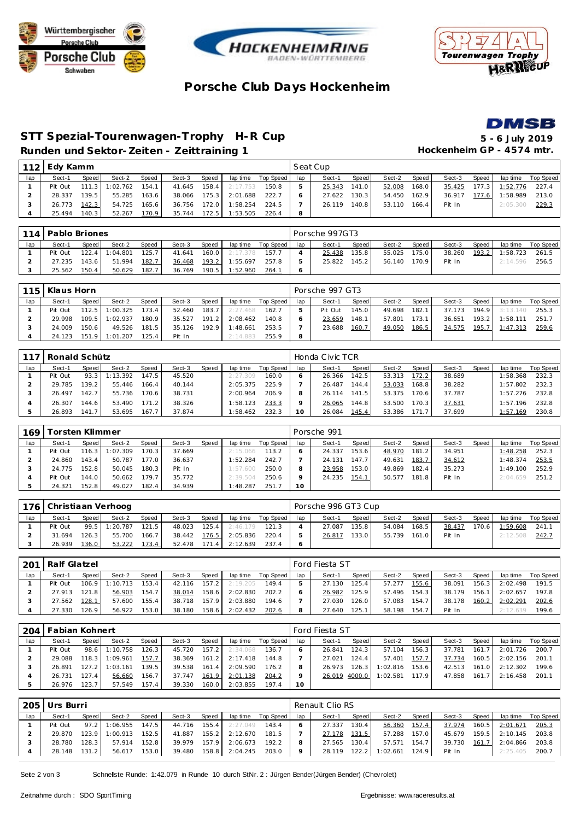





## **Porsche Club Days Hockenhe im**



#### **STT Spezial-Tourenwagen-Trophy H-R Cup 5 - 6 July 2019 Runden und Sektor-Zeiten - Zeittraining 1 Hockenheim GP - 4574 mtr.**

| 112 | Edy Kamm |       |          |       |        |       |          |                    |     | Seat Cup |       |        |       |        |       |          |           |
|-----|----------|-------|----------|-------|--------|-------|----------|--------------------|-----|----------|-------|--------|-------|--------|-------|----------|-----------|
| lap | Sect-1   | Speed | Sect-2   | Speed | Sect-3 | Speed |          | lap time Top Speed | lap | Sect-1   | Speed | Sect-2 | Speed | Sect-3 | Speed | lap time | Top Speed |
|     | Pit Out  | 111.3 | 1:02.762 | 154.1 | 41.645 | 158.4 | 2:17.753 | 150.8              | 5   | 25.343   | 141.0 | 52.008 | 168.0 | 35.425 | 177.3 | 1:52.776 | 227.4     |
|     | 28.337   | 139.5 | 55.285   | 163.6 | 38.066 | 175.3 | 2:01.688 | 222.7              |     | 27.622   | 130.3 | 54.450 | 162.9 | 36.917 | 177.6 | 1:58.989 | 213.0     |
|     | 26.773   | 142.3 | 54.725   | 165.6 | 36.756 | 172.0 | 1:58.254 | 224.5              |     | 26.119   | 140.8 | 53.110 | 166.4 | Pit In |       | 2:05.300 | 229.3     |
|     | 25.494   | 140.3 | 52.267   | 170.9 | 35.744 | 172.5 | 1:53.505 | 226.4              | 8   |          |       |        |       |        |       |          |           |

|     | 114   Pablo Briones |         |          |       |        |       |          |           |     | Porsche 997GT3 |       |        |       |        |       |          |           |
|-----|---------------------|---------|----------|-------|--------|-------|----------|-----------|-----|----------------|-------|--------|-------|--------|-------|----------|-----------|
| lap | Sect-1              | Speed   | Sect-2   | Speed | Sect-3 | Speed | lap time | Top Speed | lap | Sect-1         | Speed | Sect-2 | Speed | Sect-3 | Speed | lap time | Top Speed |
|     | Pit Out             | 122.4   | 1:04.801 | 125.7 | 41.641 | 160.0 | 2:17.378 | 157.7     |     | 25.438         | 135.8 | 55.025 | 175.0 | 38.260 | 193.2 | 1:58.723 | 261.5     |
|     | 27.235              | 143.6 l | 51.994   | 182.7 | 36.468 | 193.2 | 1:55.697 | 257.8     |     | 25.822         | 145.2 | 56.140 | 170.9 | Pit In |       | 2:14.596 | 256.5     |
|     | 25.562              | 150.4   | 50.629   | 182.7 | 36.769 | 190.5 | 1:52.960 | 264.7     |     |                |       |        |       |        |       |          |           |

|     | 115   Klaus Horn |         |                |       |        |       |          |           |     | Porsche 997 GT3 |        |        |       |        |       |          |           |
|-----|------------------|---------|----------------|-------|--------|-------|----------|-----------|-----|-----------------|--------|--------|-------|--------|-------|----------|-----------|
| lap | Sect-1           | Speed I | Sect-2         | Speed | Sect-3 | Speed | lap time | Top Speed | lap | Sect-1          | Speed  | Sect-2 | Speed | Sect-3 | Speed | lap time | Top Speed |
|     | Pit Out          | 112.5   | 1:00.325       | 173.4 | 52.460 | 183.7 | 2:27.468 | 162.7     |     | Pit Out         | 145.01 | 49.698 | 182.1 | 37.173 | 194.9 | 3:13.140 | 255.3     |
|     | 29.998           | 109.5   | 1:02.937       | 180.9 | 35.527 | 191.2 | 2:08.462 | 140.8     |     | 23.659          | 148.1  | 57.801 | 173.1 | 36.651 | 193.2 | 1:58.111 | 251.7     |
|     | 24.009           | 150.6   | 49.526         | 181.5 | 35.126 | 192.9 | 1:48.661 | 253.5     |     | 23.688          | 160.7  | 49.050 | 186.5 | 34.575 | 195.7 | 1:47.313 | 259.6     |
|     | 24.123           |         | 151.9 1:01.207 | 125.4 | Pit In |       | 2:14.883 | 255.9     | 8   |                 |        |        |       |        |       |          |           |

| 117 | l Ronald Schütz<br>Speed<br>Speed<br>Sect-2<br>Speed I<br>Sect-3<br>lap time<br>Sect-1<br>147.5<br>93.3<br>1:13.392<br>45.520<br>Pit Out<br>2:27.309<br>139.2 <sub>1</sub><br>29.785<br>55.446<br>166.4<br>40.144<br>2:05.375 |       |        |       |        |  |          |           |     | Honda Civic TCR |       |        |       |        |       |          |           |
|-----|-------------------------------------------------------------------------------------------------------------------------------------------------------------------------------------------------------------------------------|-------|--------|-------|--------|--|----------|-----------|-----|-----------------|-------|--------|-------|--------|-------|----------|-----------|
| lap |                                                                                                                                                                                                                               |       |        |       |        |  |          | Top Speed | lap | Sect-1          | Speed | Sect-2 | Speed | Sect-3 | Speed | lap time | Top Speed |
|     |                                                                                                                                                                                                                               |       |        |       |        |  |          | 160.0     |     | 26.366          | 142.5 | 53.313 | 172.2 | 38.689 |       | :58.368  | 232.3     |
|     |                                                                                                                                                                                                                               |       |        |       |        |  |          | 225.9     |     | 26.487          | 144.4 | 53.033 | 168.8 | 38.282 |       | 1:57.802 | 232.3     |
|     | 26.497                                                                                                                                                                                                                        | 142.7 | 55.736 | 170.6 | 38.731 |  | 2:00.964 | 206.9     |     | 26.114          | 141.5 | 53.375 | 170.6 | 37.787 |       | 1:57.276 | 232.8     |
|     | 26.307                                                                                                                                                                                                                        | 144.6 | 53.490 | 171.2 | 38.326 |  | 1:58.123 | 233.3     |     | 26.065          | 144.8 | 53.500 | 170.3 | 37.631 |       | 1:57.196 | 232.8     |
|     | 26.893                                                                                                                                                                                                                        | 141.7 | 53.695 | 167.7 | 37.874 |  | 1:58.462 | 232.3     |     | 26.084          | 145.4 | 53.386 |       | 37.699 |       | 1:57.169 | 230.8     |

| 169 | <sup>-</sup> orsten Klimmer |       |          |       |        |       |          |           |     | Porsche 991 |         |        |       |        |       |          |           |  |  |
|-----|-----------------------------|-------|----------|-------|--------|-------|----------|-----------|-----|-------------|---------|--------|-------|--------|-------|----------|-----------|--|--|
| lap | Sect-1                      | Speed | Sect-2   | Speed | Sect-3 | Speed | lap time | Top Speed | lap | Sect-1      | Speed ! | Sect-2 | Speed | Sect-3 | Speed | lap time | Top Speed |  |  |
|     | Pit Out                     | 116.3 | 1:07.309 | 170.3 | 37.669 |       | 2:15.066 | 113.2     |     | 24.337      | 153.6   | 48.970 | 181.2 | 34.951 |       | 1:48.258 | 252.3     |  |  |
|     | 24.860                      | 143.4 | 50.787   | 177.0 | 36.637 |       | 1:52.284 | 242.7     |     | 24.131      | 147.7   | 49.631 | 183.7 | 34.612 |       | 1:48.374 | 253.5     |  |  |
|     | 24.775                      | 152.8 | 50.045   | 180.3 | Pit In |       | 1:57.600 | 250.0     |     | 23.958      | 153.0   | 49.869 | 182.4 | 35.273 |       | 1:49.100 | 252.9     |  |  |
|     | Pit Out                     | 144.0 | 50.662   | 179.7 | 35.772 |       | 2:39.504 | 250.6     |     | 24.235      | 154.1   | 50.577 | 181.8 | Pit In |       | 2:04.659 | 251.2     |  |  |
|     | 24.321                      | 152.8 | 49.027   | 182.4 | 34.939 |       | 1:48.287 | 251.      | 10  |             |         |        |       |        |       |          |           |  |  |

|     | 176 Christiaan Verhoog |                        |               |       |        |       |          |                    |     | Porsche 996 GT3 Cup |       |        |       |        |       |          |             |  |  |
|-----|------------------------|------------------------|---------------|-------|--------|-------|----------|--------------------|-----|---------------------|-------|--------|-------|--------|-------|----------|-------------|--|--|
| lap | Sect-1                 | Speed I                | Sect-2        | Speed | Sect-3 | Speed |          | lap time Top Speed | lap | Sect-1              | Speed | Sect-2 | Speed | Sect-3 | Speed | lap time | Top Speed I |  |  |
|     | Pit Out                |                        | 99.5 1:20.787 | 121.5 | 48.023 | 125.4 | 2:46.179 | 121.3              |     | 27.087              | 135.8 | 54.084 | 168.5 | 38.437 | 170.6 | 1:59.608 | 241.        |  |  |
|     | 31.694                 | $126.3$ $\blacksquare$ | 55.700        | 166.7 | 38.442 | 176.5 | 2:05.836 | 220.4              |     | 26.817              | 133.0 | 55.739 | 161.0 | Pit In |       | 2:12.508 | 242.7       |  |  |
|     | 26.939                 | 136.0                  | 53.222        | 173.4 | 52.478 | 171.4 | 2:12.639 | 237.4              |     |                     |       |        |       |        |       |          |             |  |  |

| 201 | Ralf Glatzel |         |                  |              |        | Ford Fiesta ST |          |           |     |        |       |        |       |        |       |          |           |
|-----|--------------|---------|------------------|--------------|--------|----------------|----------|-----------|-----|--------|-------|--------|-------|--------|-------|----------|-----------|
| lap | Sect-1       | Speed I | Sect-2           | <b>Speed</b> | Sect-3 | Speed          | lap time | Top Speed | lap | Sect-1 | Speed | Sect-2 | Speed | Sect-3 | Speed | lap time | Top Speed |
|     | Pit Out      |         | $106.9$ 1:10.713 | 153.4        | 42.116 | 157.2          | 2:19.205 | 149.4     |     | 27.130 | 125.4 | 57.277 | 155.6 | 38.091 | 156.3 | 2:02.498 | 191.5     |
|     | 27.913       | 121.8   | 56.903           | 154.7        | 38.014 | 158.6          | 2:02.830 | 202.2     |     | 26.982 | 125.9 | 57.496 | 154.3 | 38.179 | 156.1 | 2:02.657 | 197.8     |
|     | 27.562       | 128.1   | 57.600           | 155.4        | 38.718 | 157.9          | 2:03.880 | 194.6     |     | 27.030 | 126.0 | 57.083 | 154.7 | 38.178 | 160.2 | 2:02.291 | 202.6     |
|     | 27.330       | 126.9   | 56.922           | 153.0        | 38.180 | 158.6          | 2:02.432 | 202.6     |     | 27.640 | 125.1 | 58.198 | 154.7 | Pit In |       | 2:12.639 | 199.6     |

| 204 | Fabian Kohnert |         |                  |                    |        |       |          |                    |          |        | <b>Ford Fiesta ST</b> |          |         |              |       |          |           |  |  |  |
|-----|----------------|---------|------------------|--------------------|--------|-------|----------|--------------------|----------|--------|-----------------------|----------|---------|--------------|-------|----------|-----------|--|--|--|
| lap | Sect-1         | Speed I | Sect-2           | Speed              | Sect-3 | Speed |          | lap time Top Speed | lap      | Sect-1 | Speed I               | Sect-2   | Speed I | Sect-3       | Speed | lap time | Top Speed |  |  |  |
|     | Pit Out        | 98.6    | 1:10.758         | 126.3 <sub>1</sub> | 45.720 | 157.2 | 2:34.068 | 136.7              |          | 26.841 | 124.3                 | 57.104   | 156.3   | 37.781       | 161.7 | 2:01.726 | 200.7     |  |  |  |
|     | 29.088         | 118.3   | 1:09.961         | 157.7              | 38.369 | 161.2 | 2:17.418 | 144.8              |          | 27.021 | 124.4                 | 57.401   | 157.7   | 37.734       | 160.5 | 2:02.156 | 201.7     |  |  |  |
|     | 26.891         |         | $127.2$ 1:03.161 | 139.5              | 39.538 | 161.4 | 2:09.590 | 176.2              | 8        | 26.973 | 126.3                 | 1:02.816 | 153.6   | 42.513       | 161.0 | 2:12.302 | 199.6     |  |  |  |
|     | 26.731         | 127.41  | 56.660           | 156.7              | 37.747 | 161.9 | 2:01.138 | 204.2              | Q        |        | 26.019 4000.0         | 1:02.581 | 117.9   | 47.858 161.7 |       | 2:16.458 | 201.1     |  |  |  |
|     | 26.976         | 123.7   | 57.549           | 157.4              | 39.330 | 160.0 | 2:03.855 | 197.4              | $10^{-}$ |        |                       |          |         |              |       |          |           |  |  |  |

| 205 | Urs Burri |         |                |       |        |       |                         |                    |         | Renault Clio RS |       |          |       |        |       |                |             |  |  |
|-----|-----------|---------|----------------|-------|--------|-------|-------------------------|--------------------|---------|-----------------|-------|----------|-------|--------|-------|----------------|-------------|--|--|
| lap | Sect-1    | Speed I | Sect-2         | Speed | Sect-3 | Speed |                         | lap time Top Speed | lap     | Sect-1          | Speed | Sect-2   | Speed | Sect-3 | Speed | lap time       | Top Speed I |  |  |
|     | Pit Out   |         | 97.2 1:06.955  | 147.5 | 44.716 | 155.4 | 2:27.049                | 143.4              |         | 27.337          | 130.4 | 56.360   | 157.4 | 37.974 |       | 160.5 2:01.671 | 205.3       |  |  |
|     | 29.870    |         | 123.9 1:00.913 | 152.5 | 41.887 | 155.2 | 2:12.670                | 181.5              |         | 27.178          | 131.5 | 57.288   | 157.0 | 45.679 |       | 159.5 2:10.145 | 203.8       |  |  |
|     | 28.780    | 128.3   | 57.914         | 152.8 | 39.979 | 157.9 | 2:06.673                | 192.2              | 8       | 27.565          | 130.4 | 57.571   | 154.7 | 39.730 |       | 161.7 2:04.866 | 203.8       |  |  |
|     | 28.148    | 131.2   | 56.617         | 153.0 |        |       | 39.480  158.8  2:04.245 | 203.0              | $\circ$ | 28.119          | 122.2 | 1:02.661 | 124.9 | Pit In |       | 2:25.405       | 200.7       |  |  |

Seite 2 von 3 Schnellste Runde: 1:42.079 in Runde 10 durch StNr. 2 : Jürgen Bender(Jürgen Bender) (Chev rolet)